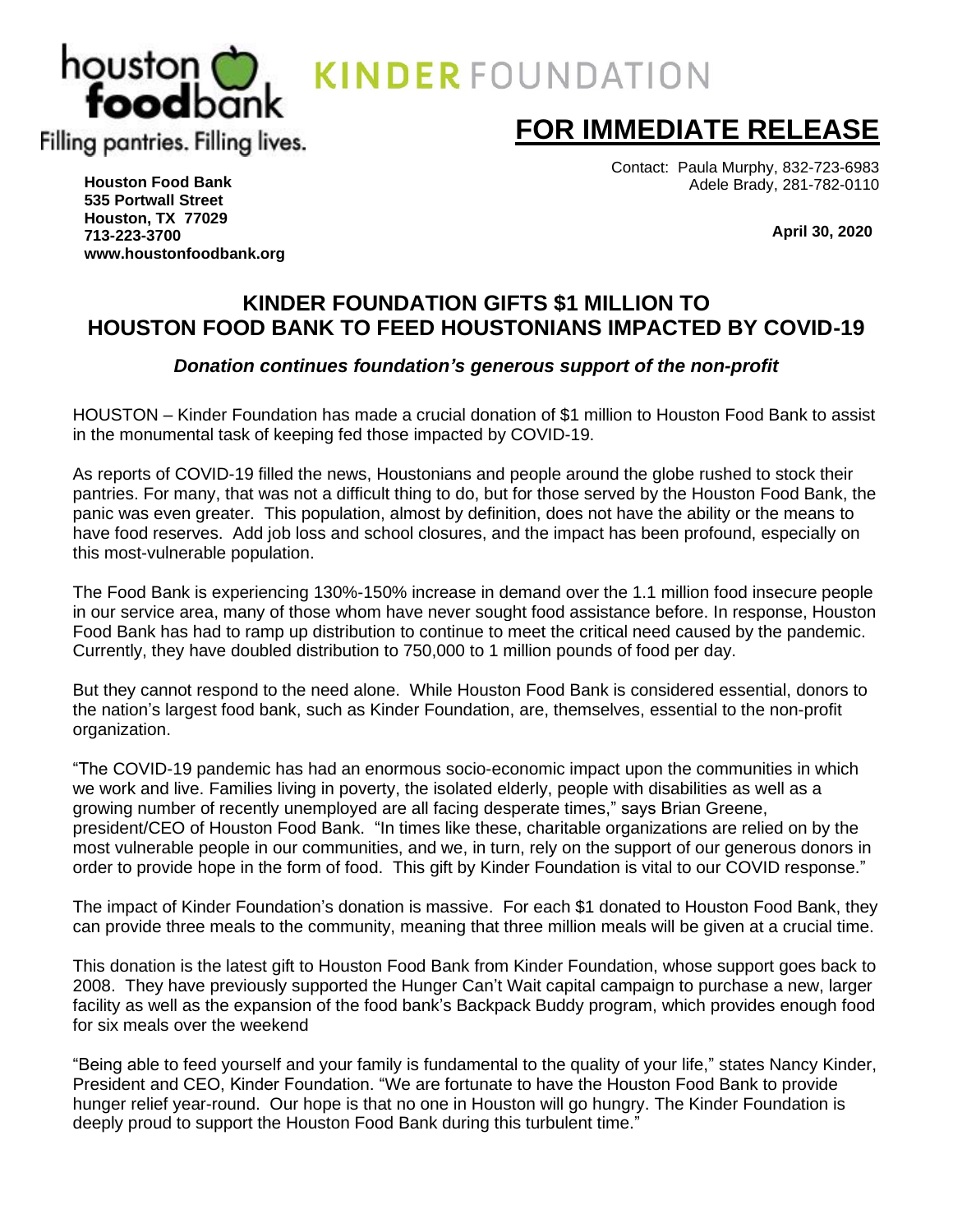

Contact: Paula Murphy, 832-723-6983 Adele Brady, 281-782-0110

 **April 30, 2020**

**Houston Food Bank 535 Portwall Street Houston, TX 77029 713-223-3700 [www.houstonfoodbank.org](http://www.houstonfoodbank.org/)**

# **KINDER FOUNDATION GIFTS \$1 MILLION TO HOUSTON FOOD BANK TO FEED HOUSTONIANS IMPACTED BY COVID-19**

## *Donation continues foundation's generous support of the non-profit*

HOUSTON – Kinder Foundation has made a crucial donation of \$1 million to Houston Food Bank to assist in the monumental task of keeping fed those impacted by COVID-19.

As reports of COVID-19 filled the news, Houstonians and people around the globe rushed to stock their pantries. For many, that was not a difficult thing to do, but for those served by the Houston Food Bank, the panic was even greater. This population, almost by definition, does not have the ability or the means to have food reserves. Add job loss and school closures, and the impact has been profound, especially on this most-vulnerable population.

The Food Bank is experiencing 130%-150% increase in demand over the 1.1 million food insecure people in our service area, many of those whom have never sought food assistance before. In response, Houston Food Bank has had to ramp up distribution to continue to meet the critical need caused by the pandemic. Currently, they have doubled distribution to 750,000 to 1 million pounds of food per day.

But they cannot respond to the need alone. While Houston Food Bank is considered essential, donors to the nation's largest food bank, such as Kinder Foundation, are, themselves, essential to the non-profit organization.

"The COVID-19 pandemic has had an enormous socio-economic impact upon the communities in which we work and live. Families living in poverty, the isolated elderly, people with disabilities as well as a growing number of recently unemployed are all facing desperate times," says Brian Greene, president/CEO of Houston Food Bank. "In times like these, charitable organizations are relied on by the most vulnerable people in our communities, and we, in turn, rely on the support of our generous donors in order to provide hope in the form of food. This gift by Kinder Foundation is vital to our COVID response."

The impact of Kinder Foundation's donation is massive. For each \$1 donated to Houston Food Bank, they can provide three meals to the community, meaning that three million meals will be given at a crucial time.

This donation is the latest gift to Houston Food Bank from Kinder Foundation, whose support goes back to 2008. They have previously supported the Hunger Can't Wait capital campaign to purchase a new, larger facility as well as the expansion of the food bank's Backpack Buddy program, which provides enough food for six meals over the weekend

"Being able to feed yourself and your family is fundamental to the quality of your life," states Nancy Kinder, President and CEO, Kinder Foundation. "We are fortunate to have the Houston Food Bank to provide hunger relief year-round. Our hope is that no one in Houston will go hungry. The Kinder Foundation is deeply proud to support the Houston Food Bank during this turbulent time."